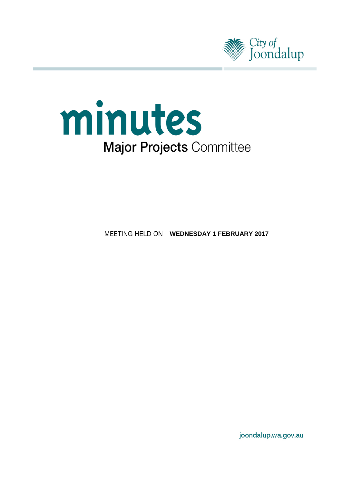



**MEETING HELD ON WEDNESDAY 1 FEBRUARY 2017** 

joondalup.wa.gov.au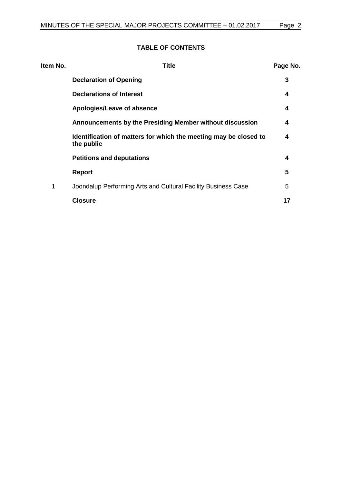# **TABLE OF CONTENTS**

| Item No. | <b>Title</b>                                                                   | Page No. |
|----------|--------------------------------------------------------------------------------|----------|
|          | <b>Declaration of Opening</b>                                                  | 3        |
|          | <b>Declarations of Interest</b>                                                | 4        |
|          | Apologies/Leave of absence                                                     | 4        |
|          | Announcements by the Presiding Member without discussion                       | 4        |
|          | Identification of matters for which the meeting may be closed to<br>the public | 4        |
|          | <b>Petitions and deputations</b>                                               | 4        |
|          | <b>Report</b>                                                                  | 5        |
| 1        | Joondalup Performing Arts and Cultural Facility Business Case                  | 5        |
|          | <b>Closure</b>                                                                 | 17       |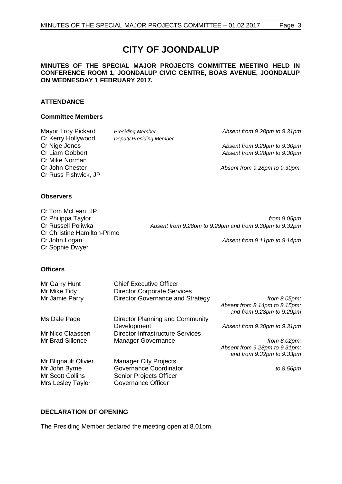# **CITY OF JOONDALUP**

#### **MINUTES OF THE SPECIAL MAJOR PROJECTS COMMITTEE MEETING HELD IN CONFERENCE ROOM 1, JOONDALUP CIVIC CENTRE, BOAS AVENUE, JOONDALUP ON WEDNESDAY 1 FEBRUARY 2017.**

#### **ATTENDANCE**

#### **Committee Members**

| Mayor Troy Pickard   | <b>Presiding Member</b>        | Absent from 9.28pm to 9.31pm  |
|----------------------|--------------------------------|-------------------------------|
| Cr Kerry Hollywood   | <b>Deputy Presiding Member</b> |                               |
| Cr Nige Jones        |                                | Absent from 9.29pm to 9.30pm  |
| Cr Liam Gobbert      |                                | Absent from 9.28pm to 9.30pm  |
| Cr Mike Norman       |                                |                               |
| Cr John Chester      |                                | Absent from 9.28pm to 9.30pm. |
| Cr Russ Fishwick, JP |                                |                               |
|                      |                                |                               |
|                      |                                |                               |

#### **Observers**

| Cr Tom McLean, JP                  |                                                        |
|------------------------------------|--------------------------------------------------------|
| Cr Philippa Taylor                 | from 9.05pm                                            |
| Cr Russell Poliwka                 | Absent from 9.28pm to 9.29pm and from 9.30pm to 9.32pm |
| <b>Cr Christine Hamilton-Prime</b> |                                                        |
| Cr John Logan                      | Absent from 9.11pm to 9.14pm                           |
| Cr Sophie Dwyer                    |                                                        |

#### **Officers**

| Mr Garry Hunt        | <b>Chief Executive Officer</b>          |                               |
|----------------------|-----------------------------------------|-------------------------------|
| Mr Mike Tidy         | <b>Director Corporate Services</b>      |                               |
| Mr Jamie Parry       | <b>Director Governance and Strategy</b> | from $8.05 \text{pm}$ ;       |
|                      |                                         | Absent from 8.14pm to 8.15pm; |
|                      |                                         | and from 9.28pm to 9.29pm     |
| Ms Dale Page         | Director Planning and Community         |                               |
|                      | Development                             | Absent from 9.30pm to 9.31pm  |
| Mr Nico Claassen     | <b>Director Infrastructure Services</b> |                               |
| Mr Brad Sillence     | <b>Manager Governance</b>               | from $8.02 \text{pm}$ ;       |
|                      |                                         | Absent from 9.28pm to 9.31pm; |
|                      |                                         | and from 9.32pm to 9.33pm     |
| Mr Blignault Olivier | <b>Manager City Projects</b>            |                               |
| Mr John Byrne        | Governance Coordinator                  | to 8.56pm                     |
| Mr Scott Collins     | Senior Projects Officer                 |                               |
| Mrs Lesley Taylor    | Governance Officer                      |                               |

#### <span id="page-2-0"></span>**DECLARATION OF OPENING**

The Presiding Member declared the meeting open at 8.01pm.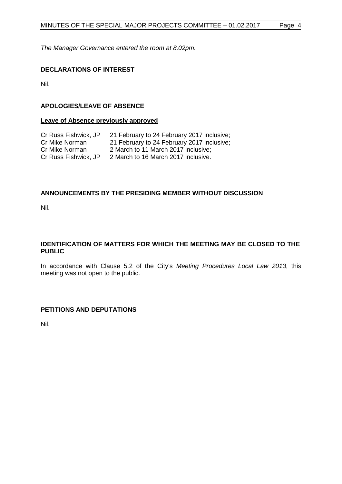*The Manager Governance entered the room at 8.02pm.*

# <span id="page-3-0"></span>**DECLARATIONS OF INTEREST**

Nil.

# <span id="page-3-1"></span>**APOLOGIES/LEAVE OF ABSENCE**

#### **Leave of Absence previously approved**

| Cr Russ Fishwick, JP | 21 February to 24 February 2017 inclusive; |
|----------------------|--------------------------------------------|
| Cr Mike Norman       | 21 February to 24 February 2017 inclusive; |
| Cr Mike Norman       | 2 March to 11 March 2017 inclusive:        |
| Cr Russ Fishwick, JP | 2 March to 16 March 2017 inclusive.        |

## <span id="page-3-2"></span>**ANNOUNCEMENTS BY THE PRESIDING MEMBER WITHOUT DISCUSSION**

Nil.

#### <span id="page-3-3"></span>**IDENTIFICATION OF MATTERS FOR WHICH THE MEETING MAY BE CLOSED TO THE PUBLIC**

In accordance with Clause 5.2 of the City's *Meeting Procedures Local Law 2013*, this meeting was not open to the public.

#### <span id="page-3-4"></span>**PETITIONS AND DEPUTATIONS**

Nil.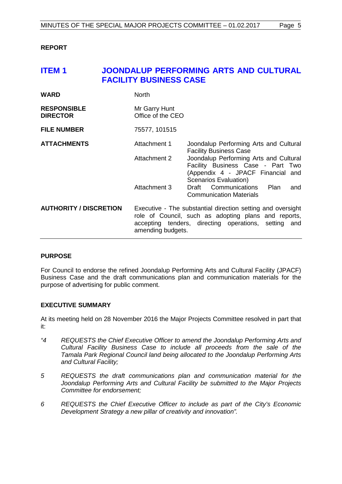#### <span id="page-4-0"></span>**REPORT**

# <span id="page-4-1"></span>**ITEM 1 JOONDALUP PERFORMING ARTS AND CULTURAL FACILITY BUSINESS CASE**

| <b>WARD</b>                           | <b>North</b>                                                                                                                                                                                     |                                                                                                                                           |  |
|---------------------------------------|--------------------------------------------------------------------------------------------------------------------------------------------------------------------------------------------------|-------------------------------------------------------------------------------------------------------------------------------------------|--|
| <b>RESPONSIBLE</b><br><b>DIRECTOR</b> | Mr Garry Hunt<br>Office of the CEO                                                                                                                                                               |                                                                                                                                           |  |
| <b>FILE NUMBER</b>                    | 75577, 101515                                                                                                                                                                                    |                                                                                                                                           |  |
| <b>ATTACHMENTS</b>                    | Attachment 1                                                                                                                                                                                     | Joondalup Performing Arts and Cultural<br><b>Facility Business Case</b>                                                                   |  |
|                                       | Attachment 2                                                                                                                                                                                     | Joondalup Performing Arts and Cultural<br>Facility Business Case - Part Two<br>(Appendix 4 - JPACF Financial and<br>Scenarios Evaluation) |  |
|                                       | Attachment 3                                                                                                                                                                                     | Draft Communications<br>Plan<br>and<br><b>Communication Materials</b>                                                                     |  |
| <b>AUTHORITY / DISCRETION</b>         | Executive - The substantial direction setting and oversight<br>role of Council, such as adopting plans and reports,<br>accepting tenders, directing operations, setting and<br>amending budgets. |                                                                                                                                           |  |

#### **PURPOSE**

For Council to endorse the refined Joondalup Performing Arts and Cultural Facility (JPACF) Business Case and the draft communications plan and communication materials for the purpose of advertising for public comment.

#### **EXECUTIVE SUMMARY**

At its meeting held on 28 November 2016 the Major Projects Committee resolved in part that it:

- *"4 REQUESTS the Chief Executive Officer to amend the Joondalup Performing Arts and Cultural Facility Business Case to include all proceeds from the sale of the Tamala Park Regional Council land being allocated to the Joondalup Performing Arts and Cultural Facility;*
- *5 REQUESTS the draft communications plan and communication material for the Joondalup Performing Arts and Cultural Facility be submitted to the Major Projects Committee for endorsement;*
- *6 REQUESTS the Chief Executive Officer to include as part of the City's Economic Development Strategy a new pillar of creativity and innovation".*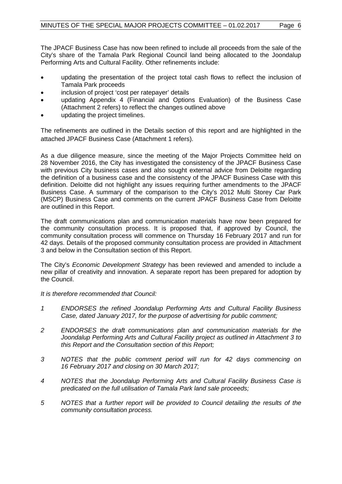The JPACF Business Case has now been refined to include all proceeds from the sale of the City's share of the Tamala Park Regional Council land being allocated to the Joondalup Performing Arts and Cultural Facility. Other refinements include:

- updating the presentation of the project total cash flows to reflect the inclusion of Tamala Park proceeds
- inclusion of project 'cost per ratepayer' details
- updating Appendix 4 (Financial and Options Evaluation) of the Business Case (Attachment 2 refers) to reflect the changes outlined above
- updating the project timelines.

The refinements are outlined in the Details section of this report and are highlighted in the attached JPACF Business Case (Attachment 1 refers).

As a due diligence measure, since the meeting of the Major Projects Committee held on 28 November 2016, the City has investigated the consistency of the JPACF Business Case with previous City business cases and also sought external advice from Deloitte regarding the definition of a business case and the consistency of the JPACF Business Case with this definition. Deloitte did not highlight any issues requiring further amendments to the JPACF Business Case. A summary of the comparison to the City's 2012 Multi Storey Car Park (MSCP) Business Case and comments on the current JPACF Business Case from Deloitte are outlined in this Report.

The draft communications plan and communication materials have now been prepared for the community consultation process. It is proposed that, if approved by Council, the community consultation process will commence on Thursday 16 February 2017 and run for 42 days. Details of the proposed community consultation process are provided in Attachment 3 and below in the Consultation section of this Report.

The City's *Economic Development Strategy* has been reviewed and amended to include a new pillar of creativity and innovation. A separate report has been prepared for adoption by the Council.

*It is therefore recommended that Council:*

- *1 ENDORSES the refined Joondalup Performing Arts and Cultural Facility Business Case, dated January 2017, for the purpose of advertising for public comment;*
- *2 ENDORSES the draft communications plan and communication materials for the Joondalup Performing Arts and Cultural Facility project as outlined in Attachment 3 to this Report and the Consultation section of this Report;*
- *3 NOTES that the public comment period will run for 42 days commencing on 16 February 2017 and closing on 30 March 2017;*
- *4 NOTES that the Joondalup Performing Arts and Cultural Facility Business Case is predicated on the full utilisation of Tamala Park land sale proceeds;*
- *5 NOTES that a further report will be provided to Council detailing the results of the community consultation process.*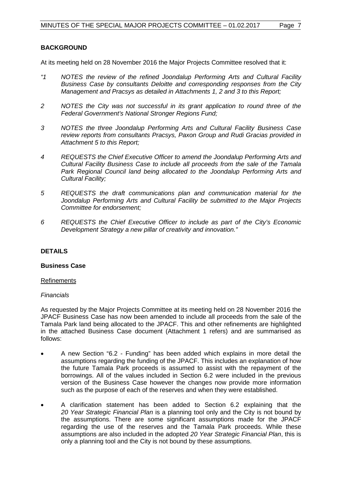## **BACKGROUND**

At its meeting held on 28 November 2016 the Major Projects Committee resolved that it:

- *"1 NOTES the review of the refined Joondalup Performing Arts and Cultural Facility Business Case by consultants Deloitte and corresponding responses from the City Management and Pracsys as detailed in Attachments 1, 2 and 3 to this Report;*
- *2 NOTES the City was not successful in its grant application to round three of the Federal Government's National Stronger Regions Fund;*
- *3 NOTES the three Joondalup Performing Arts and Cultural Facility Business Case review reports from consultants Pracsys, Paxon Group and Rudi Gracias provided in Attachment 5 to this Report;*
- *4 REQUESTS the Chief Executive Officer to amend the Joondalup Performing Arts and Cultural Facility Business Case to include all proceeds from the sale of the Tamala Park Regional Council land being allocated to the Joondalup Performing Arts and Cultural Facility;*
- *5 REQUESTS the draft communications plan and communication material for the Joondalup Performing Arts and Cultural Facility be submitted to the Major Projects Committee for endorsement;*
- *6 REQUESTS the Chief Executive Officer to include as part of the City's Economic Development Strategy a new pillar of creativity and innovation."*

#### **DETAILS**

#### **Business Case**

#### Refinements

#### *Financials*

As requested by the Major Projects Committee at its meeting held on 28 November 2016 the JPACF Business Case has now been amended to include all proceeds from the sale of the Tamala Park land being allocated to the JPACF. This and other refinements are highlighted in the attached Business Case document (Attachment 1 refers) and are summarised as follows:

- A new Section "6.2 Funding" has been added which explains in more detail the assumptions regarding the funding of the JPACF. This includes an explanation of how the future Tamala Park proceeds is assumed to assist with the repayment of the borrowings. All of the values included in Section 6.2 were included in the previous version of the Business Case however the changes now provide more information such as the purpose of each of the reserves and when they were established.
- A clarification statement has been added to Section 6.2 explaining that the *20 Year Strategic Financial Plan* is a planning tool only and the City is not bound by the assumptions. There are some significant assumptions made for the JPACF regarding the use of the reserves and the Tamala Park proceeds. While these assumptions are also included in the adopted *20 Year Strategic Financial Plan*, this is only a planning tool and the City is not bound by these assumptions.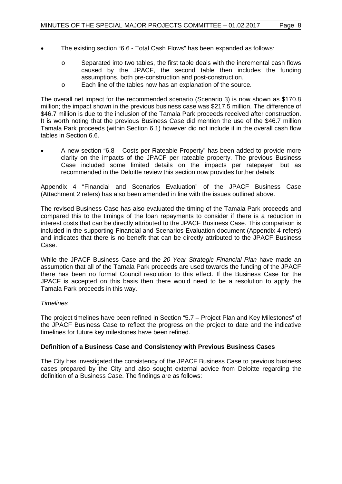- The existing section "6.6 Total Cash Flows" has been expanded as follows:
	- o Separated into two tables, the first table deals with the incremental cash flows caused by the JPACF, the second table then includes the funding assumptions, both pre-construction and post-construction.
	- o Each line of the tables now has an explanation of the source.

The overall net impact for the recommended scenario (Scenario 3) is now shown as \$170.8 million; the impact shown in the previous business case was \$217.5 million. The difference of \$46.7 million is due to the inclusion of the Tamala Park proceeds received after construction. It is worth noting that the previous Business Case did mention the use of the \$46.7 million Tamala Park proceeds (within Section 6.1) however did not include it in the overall cash flow tables in Section 6.6.

• A new section "6.8 – Costs per Rateable Property" has been added to provide more clarity on the impacts of the JPACF per rateable property. The previous Business Case included some limited details on the impacts per ratepayer, but as recommended in the Deloitte review this section now provides further details.

Appendix 4 "Financial and Scenarios Evaluation" of the JPACF Business Case (Attachment 2 refers) has also been amended in line with the issues outlined above.

The revised Business Case has also evaluated the timing of the Tamala Park proceeds and compared this to the timings of the loan repayments to consider if there is a reduction in interest costs that can be directly attributed to the JPACF Business Case. This comparison is included in the supporting Financial and Scenarios Evaluation document (Appendix 4 refers) and indicates that there is no benefit that can be directly attributed to the JPACF Business Case.

While the JPACF Business Case and the *20 Year Strategic Financial Plan* have made an assumption that all of the Tamala Park proceeds are used towards the funding of the JPACF there has been no formal Council resolution to this effect. If the Business Case for the JPACF is accepted on this basis then there would need to be a resolution to apply the Tamala Park proceeds in this way.

#### *Timelines*

The project timelines have been refined in Section "5.7 – Project Plan and Key Milestones" of the JPACF Business Case to reflect the progress on the project to date and the indicative timelines for future key milestones have been refined.

#### **Definition of a Business Case and Consistency with Previous Business Cases**

The City has investigated the consistency of the JPACF Business Case to previous business cases prepared by the City and also sought external advice from Deloitte regarding the definition of a Business Case. The findings are as follows: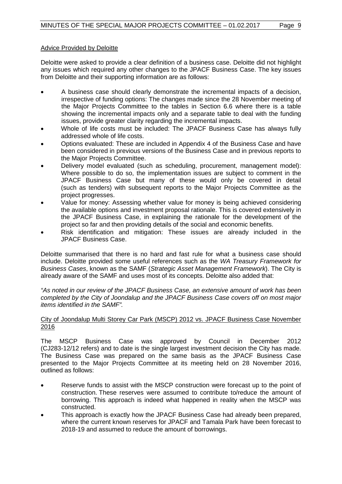#### Advice Provided by Deloitte

Deloitte were asked to provide a clear definition of a business case. Deloitte did not highlight any issues which required any other changes to the JPACF Business Case. The key issues from Deloitte and their supporting information are as follows:

- A business case should clearly demonstrate the incremental impacts of a decision, irrespective of funding options: The changes made since the 28 November meeting of the Major Projects Committee to the tables in Section 6.6 where there is a table showing the incremental impacts only and a separate table to deal with the funding issues, provide greater clarity regarding the incremental impacts.
- Whole of life costs must be included: The JPACF Business Case has always fully addressed whole of life costs.
- Options evaluated: These are included in Appendix 4 of the Business Case and have been considered in previous versions of the Business Case and in previous reports to the Major Projects Committee.
- Delivery model evaluated (such as scheduling, procurement, management model): Where possible to do so, the implementation issues are subject to comment in the JPACF Business Case but many of these would only be covered in detail (such as tenders) with subsequent reports to the Major Projects Committee as the project progresses.
- Value for money: Assessing whether value for money is being achieved considering the available options and investment proposal rationale. This is covered extensively in the JPACF Business Case, in explaining the rationale for the development of the project so far and then providing details of the social and economic benefits.
- Risk identification and mitigation: These issues are already included in the JPACF Business Case.

Deloitte summarised that there is no hard and fast rule for what a business case should include. Deloitte provided some useful references such as the *WA Treasury Framework for Business Cases*, known as the SAMF (*Strategic Asset Management Framework*). The City is already aware of the SAMF and uses most of its concepts. Deloitte also added that:

*"As noted in our review of the JPACF Business Case, an extensive amount of work has been completed by the City of Joondalup and the JPACF Business Case covers off on most major items identified in the SAMF".*

#### City of Joondalup Multi Storey Car Park (MSCP) 2012 vs. JPACF Business Case November 2016

The MSCP Business Case was approved by Council in December 2012 (CJ283-12/12 refers) and to date is the single largest investment decision the City has made. The Business Case was prepared on the same basis as the JPACF Business Case presented to the Major Projects Committee at its meeting held on 28 November 2016, outlined as follows:

- Reserve funds to assist with the MSCP construction were forecast up to the point of construction. These reserves were assumed to contribute to/reduce the amount of borrowing. This approach is indeed what happened in reality when the MSCP was constructed.
- This approach is exactly how the JPACF Business Case had already been prepared, where the current known reserves for JPACF and Tamala Park have been forecast to 2018-19 and assumed to reduce the amount of borrowings.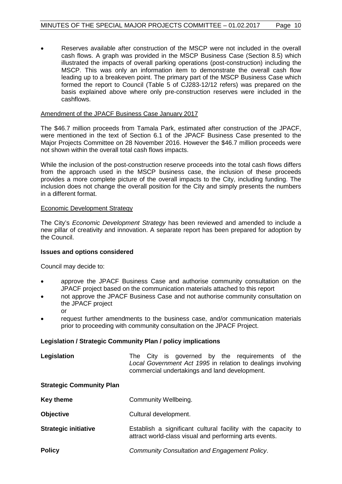• Reserves available after construction of the MSCP were not included in the overall cash flows. A graph was provided in the MSCP Business Case (Section 8.5) which illustrated the impacts of overall parking operations (post-construction) including the MSCP. This was only an information item to demonstrate the overall cash flow leading up to a breakeven point. The primary part of the MSCP Business Case which formed the report to Council (Table 5 of CJ283-12/12 refers) was prepared on the basis explained above where only pre-construction reserves were included in the cashflows.

#### Amendment of the JPACF Business Case January 2017

The \$46.7 million proceeds from Tamala Park, estimated after construction of the JPACF, were mentioned in the text of Section 6.1 of the JPACF Business Case presented to the Major Projects Committee on 28 November 2016. However the \$46.7 million proceeds were not shown within the overall total cash flows impacts.

While the inclusion of the post-construction reserve proceeds into the total cash flows differs from the approach used in the MSCP business case, the inclusion of these proceeds provides a more complete picture of the overall impacts to the City, including funding. The inclusion does not change the overall position for the City and simply presents the numbers in a different format.

#### Economic Development Strategy

The City's *Economic Development Strategy* has been reviewed and amended to include a new pillar of creativity and innovation. A separate report has been prepared for adoption by the Council.

#### **Issues and options considered**

Council may decide to:

- approve the JPACF Business Case and authorise community consultation on the JPACF project based on the communication materials attached to this report
- not approve the JPACF Business Case and not authorise community consultation on the JPACF project or
- request further amendments to the business case, and/or communication materials prior to proceeding with community consultation on the JPACF Project.

#### **Legislation / Strategic Community Plan / policy implications**

| Legislation |  |                                               |  | The City is governed by the requirements of the             |  |
|-------------|--|-----------------------------------------------|--|-------------------------------------------------------------|--|
|             |  | commercial undertakings and land development. |  | Local Government Act 1995 in relation to dealings involving |  |

#### **Strategic Community Plan**

| Key theme | Community Wellbeing. |
|-----------|----------------------|
|-----------|----------------------|

- **Objective** Cultural development.
- **Strategic initiative Establish a significant cultural facility with the capacity to** attract world-class visual and performing arts events.
- **Policy** *Community Consultation and Engagement Policy*.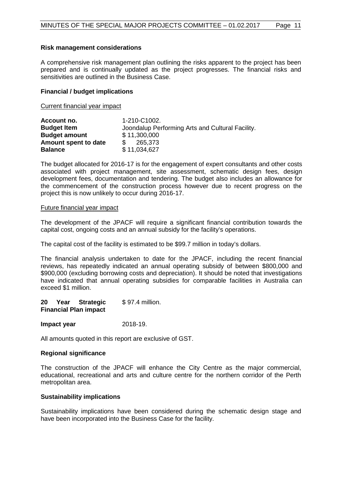#### **Risk management considerations**

A comprehensive risk management plan outlining the risks apparent to the project has been prepared and is continually updated as the project progresses. The financial risks and sensitivities are outlined in the Business Case.

#### **Financial / budget implications**

Current financial year impact

| Account no.          | 1-210-C1002.                                     |
|----------------------|--------------------------------------------------|
| <b>Budget Item</b>   | Joondalup Performing Arts and Cultural Facility. |
| <b>Budget amount</b> | \$11,300,000                                     |
| Amount spent to date | 265.373                                          |
| <b>Balance</b>       | \$11,034,627                                     |

The budget allocated for 2016-17 is for the engagement of expert consultants and other costs associated with project management, site assessment, schematic design fees, design development fees, documentation and tendering. The budget also includes an allowance for the commencement of the construction process however due to recent progress on the project this is now unlikely to occur during 2016-17.

#### Future financial year impact

The development of the JPACF will require a significant financial contribution towards the capital cost, ongoing costs and an annual subsidy for the facility's operations.

The capital cost of the facility is estimated to be \$99.7 million in today's dollars.

The financial analysis undertaken to date for the JPACF, including the recent financial reviews, has repeatedly indicated an annual operating subsidy of between \$800,000 and \$900,000 (excluding borrowing costs and depreciation). It should be noted that investigations have indicated that annual operating subsidies for comparable facilities in Australia can exceed \$1 million.

**20 Year Strategic Financial Plan impact**  \$ 97.4 million.

#### **Impact year** 2018-19.

All amounts quoted in this report are exclusive of GST.

#### **Regional significance**

The construction of the JPACF will enhance the City Centre as the major commercial, educational, recreational and arts and culture centre for the northern corridor of the Perth metropolitan area.

#### **Sustainability implications**

Sustainability implications have been considered during the schematic design stage and have been incorporated into the Business Case for the facility.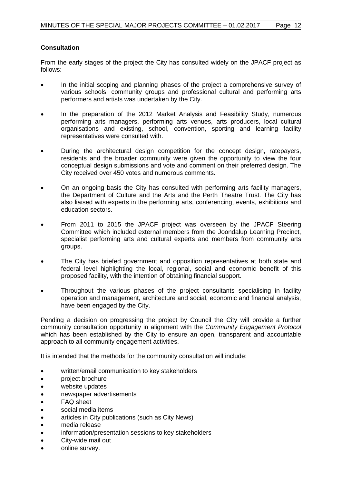### **Consultation**

From the early stages of the project the City has consulted widely on the JPACF project as follows:

- In the initial scoping and planning phases of the project a comprehensive survey of various schools, community groups and professional cultural and performing arts performers and artists was undertaken by the City.
- In the preparation of the 2012 Market Analysis and Feasibility Study, numerous performing arts managers, performing arts venues, arts producers, local cultural organisations and existing, school, convention, sporting and learning facility representatives were consulted with.
- During the architectural design competition for the concept design, ratepayers, residents and the broader community were given the opportunity to view the four conceptual design submissions and vote and comment on their preferred design. The City received over 450 votes and numerous comments.
- On an ongoing basis the City has consulted with performing arts facility managers, the Department of Culture and the Arts and the Perth Theatre Trust. The City has also liaised with experts in the performing arts, conferencing, events, exhibitions and education sectors.
- From 2011 to 2015 the JPACF project was overseen by the JPACF Steering Committee which included external members from the Joondalup Learning Precinct, specialist performing arts and cultural experts and members from community arts groups.
- The City has briefed government and opposition representatives at both state and federal level highlighting the local, regional, social and economic benefit of this proposed facility, with the intention of obtaining financial support.
- Throughout the various phases of the project consultants specialising in facility operation and management, architecture and social, economic and financial analysis, have been engaged by the City.

Pending a decision on progressing the project by Council the City will provide a further community consultation opportunity in alignment with the *Community Engagement Protocol*  which has been established by the City to ensure an open, transparent and accountable approach to all community engagement activities.

It is intended that the methods for the community consultation will include:

- written/email communication to key stakeholders
- project brochure
- website updates
- newspaper advertisements
- FAQ sheet
- social media items
- articles in City publications (such as City News)
- media release
- information/presentation sessions to key stakeholders
- City-wide mail out
- online survey.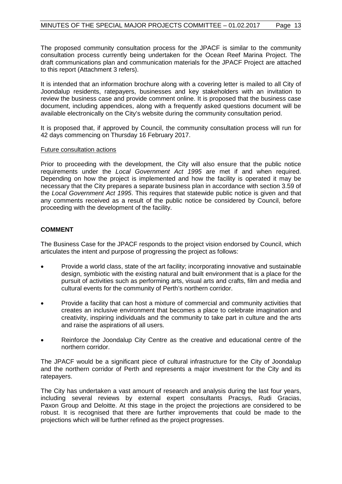The proposed community consultation process for the JPACF is similar to the community consultation process currently being undertaken for the Ocean Reef Marina Project. The draft communications plan and communication materials for the JPACF Project are attached to this report (Attachment 3 refers).

It is intended that an information brochure along with a covering letter is mailed to all City of Joondalup residents, ratepayers, businesses and key stakeholders with an invitation to review the business case and provide comment online. It is proposed that the business case document, including appendices, along with a frequently asked questions document will be available electronically on the City's website during the community consultation period.

It is proposed that, if approved by Council, the community consultation process will run for 42 days commencing on Thursday 16 February 2017.

#### Future consultation actions

Prior to proceeding with the development, the City will also ensure that the public notice requirements under the *Local Government Act 1995* are met if and when required. Depending on how the project is implemented and how the facility is operated it may be necessary that the City prepares a separate business plan in accordance with section 3.59 of the *Local Government Act 1995*. This requires that statewide public notice is given and that any comments received as a result of the public notice be considered by Council, before proceeding with the development of the facility.

## **COMMENT**

The Business Case for the JPACF responds to the project vision endorsed by Council, which articulates the intent and purpose of progressing the project as follows:

- Provide a world class, state of the art facility; incorporating innovative and sustainable design, symbiotic with the existing natural and built environment that is a place for the pursuit of activities such as performing arts, visual arts and crafts, film and media and cultural events for the community of Perth's northern corridor.
- Provide a facility that can host a mixture of commercial and community activities that creates an inclusive environment that becomes a place to celebrate imagination and creativity, inspiring individuals and the community to take part in culture and the arts and raise the aspirations of all users.
- Reinforce the Joondalup City Centre as the creative and educational centre of the northern corridor.

The JPACF would be a significant piece of cultural infrastructure for the City of Joondalup and the northern corridor of Perth and represents a major investment for the City and its ratepayers.

The City has undertaken a vast amount of research and analysis during the last four years, including several reviews by external expert consultants Pracsys, Rudi Gracias, Paxon Group and Deloitte. At this stage in the project the projections are considered to be robust. It is recognised that there are further improvements that could be made to the projections which will be further refined as the project progresses.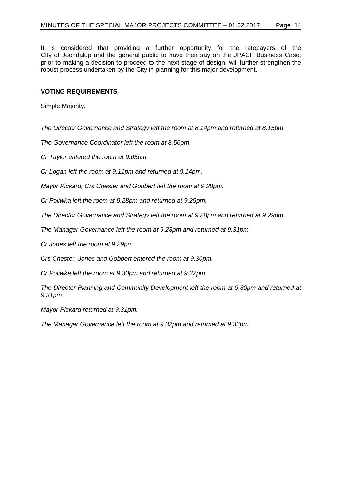It is considered that providing a further opportunity for the ratepayers of the City of Joondalup and the general public to have their say on the JPACF Business Case, prior to making a decision to proceed to the next stage of design, will further strengthen the robust process undertaken by the City in planning for this major development.

#### **VOTING REQUIREMENTS**

Simple Majority.

*The Director Governance and Strategy left the room at 8.14pm and returned at 8.15pm.*

*The Governance Coordinator left the room at 8.56pm.*

*Cr Taylor entered the room at 9.05pm.*

*Cr Logan left the room at 9.11pm and returned at 9.14pm.*

*Mayor Pickard, Crs Chester and Gobbert left the room at 9.28pm.*

*Cr Poliwka left the room at 9.28pm and returned at 9.29pm.*

*The Director Governance and Strategy left the room at 9.28pm and returned at 9.29pm.*

*The Manager Governance left the room at 9.28pm and returned at 9.31pm.*

*Cr Jones left the room at 9.29pm.*

*Crs Chester, Jones and Gobbert entered the room at 9.30pm.*

*Cr Poliwka left the room at 9.30pm and returned at 9.32pm.*

*The Director Planning and Community Development left the room at 9.30pm and returned at 9.31pm.*

*Mayor Pickard returned at 9.31pm.*

*The Manager Governance left the room at 9.32pm and returned at 9.33pm.*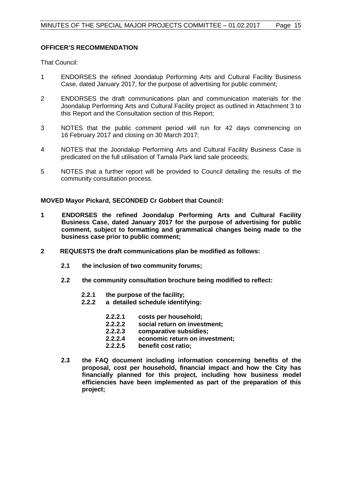#### **OFFICER'S RECOMMENDATION**

That Council:

- 1 ENDORSES the refined Joondalup Performing Arts and Cultural Facility Business Case, dated January 2017, for the purpose of advertising for public comment;
- 2 ENDORSES the draft communications plan and communication materials for the Joondalup Performing Arts and Cultural Facility project as outlined in Attachment 3 to this Report and the Consultation section of this Report;
- 3 NOTES that the public comment period will run for 42 days commencing on 16 February 2017 and closing on 30 March 2017;
- 4 NOTES that the Joondalup Performing Arts and Cultural Facility Business Case is predicated on the full utilisation of Tamala Park land sale proceeds;
- 5 NOTES that a further report will be provided to Council detailing the results of the community consultation process.

**MOVED Mayor Pickard, SECONDED Cr Gobbert that Council:**

- **1 ENDORSES the refined Joondalup Performing Arts and Cultural Facility Business Case, dated January 2017 for the purpose of advertising for public comment, subject to formatting and grammatical changes being made to the business case prior to public comment;**
- **2 REQUESTS the draft communications plan be modified as follows:**
	- **2.1 the inclusion of two community forums;**
	- **2.2 the community consultation brochure being modified to reflect:**
		- **2.2.1 the purpose of the facility;**
		- **2.2.2 a detailed schedule identifying:**
			- **2.2.2.1 costs per household;**
			- **2.2.2.2 social return on investment;**
			- **2.2.2.3 comparative subsidies;**
			- **2.2.2.4 economic return on investment;**
			- **2.2.2.5 benefit cost ratio;**
	- **2.3 the FAQ document including information concerning benefits of the proposal, cost per household, financial impact and how the City has financially planned for this project, including how business model efficiencies have been implemented as part of the preparation of this project;**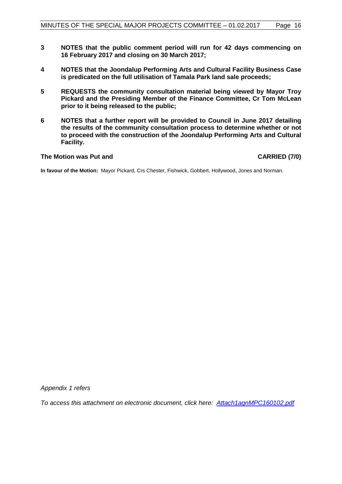- **3 NOTES that the public comment period will run for 42 days commencing on 16 February 2017 and closing on 30 March 2017;**
- **4 NOTES that the Joondalup Performing Arts and Cultural Facility Business Case is predicated on the full utilisation of Tamala Park land sale proceeds;**
- **5 REQUESTS the community consultation material being viewed by Mayor Troy Pickard and the Presiding Member of the Finance Committee, Cr Tom McLean prior to it being released to the public;**
- **6 NOTES that a further report will be provided to Council in June 2017 detailing the results of the community consultation process to determine whether or not to proceed with the construction of the Joondalup Performing Arts and Cultural Facility.**

#### The Motion was Put and **CARRIED** (7/0)

**In favour of the Motion:** Mayor Pickard, Crs Chester, Fishwick, Gobbert, Hollywood, Jones and Norman.

*Appendix 1 refers*

*[To access this attachment on electronic document, click here: Attach1agnMPC160102.pdf](http://www.joondalup.wa.gov.au/files/committees/MAPC/2017/Attach1agnMPC160102.pdf)*